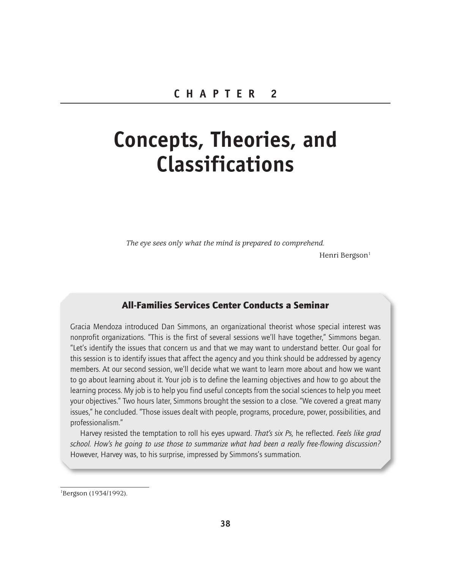# **Concepts, Theories, and Classifications**

*The eye sees only what the mind is prepared to comprehend.*

Henri Bergson<sup>1</sup>

# All-Families Services Center Conducts a Seminar

Gracia Mendoza introduced Dan Simmons, an organizational theorist whose special interest was nonprofit organizations. "This is the first of several sessions we'll have together," Simmons began. "Let's identify the issues that concern us and that we may want to understand better. Our goal for this session is to identify issues that affect the agency and you think should be addressed by agency members. At our second session, we'll decide what we want to learn more about and how we want to go about learning about it. Your job is to define the learning objectives and how to go about the learning process. My job is to help you find useful concepts from the social sciences to help you meet your objectives." Two hours later, Simmons brought the session to a close. "We covered a great many issues," he concluded. "Those issues dealt with people, programs, procedure, power, possibilities, and professionalism."

Harvey resisted the temptation to roll his eyes upward. *That's six Ps,* he reflected. *Feels like grad school. How's he going to use those to summarize what had been a really free-flowing discussion?*  However, Harvey was, to his surprise, impressed by Simmons's summation.

<sup>1</sup> Bergson (1934/1992).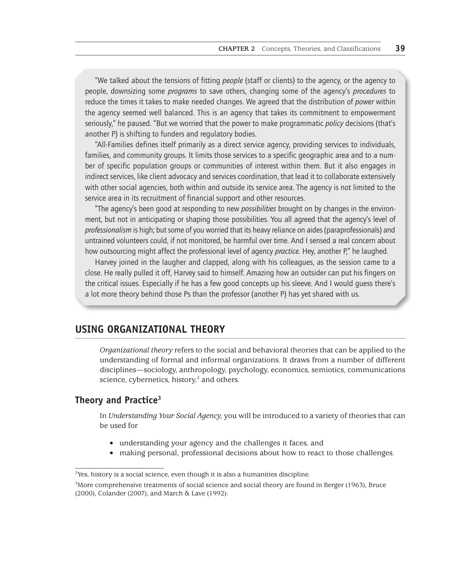"We talked about the tensions of fitting *people* (staff or clients) to the agency, or the agency to people, downsizing some *programs* to save others, changing some of the agency's *procedures* to reduce the times it takes to make needed changes. We agreed that the distribution of *power* within the agency seemed well balanced. This is an agency that takes its commitment to empowerment seriously," he paused. "But we worried that the power to make programmatic *policy* decisions (that's another P) is shifting to funders and regulatory bodies.

"All-Families defines itself primarily as a direct service agency, providing services to individuals, families, and community groups. It limits those services to a specific geographic area and to a number of specific population groups or communities of interest within them. But it also engages in indirect services, like client advocacy and services coordination, that lead it to collaborate extensively with other social agencies, both within and outside its service area. The agency is not limited to the service area in its recruitment of financial support and other resources.

"The agency's been good at responding to new *possibilities* brought on by changes in the environment, but not in anticipating or shaping those possibilities. You all agreed that the agency's level of *professionalism* is high; but some of you worried that its heavy reliance on aides (paraprofessionals) and untrained volunteers could, if not monitored, be harmful over time. And I sensed a real concern about how outsourcing might affect the professional level of agency *practice.* Hey, another P," he laughed.

Harvey joined in the laugher and clapped, along with his colleagues, as the session came to a close. He really pulled it off, Harvey said to himself. Amazing how an outsider can put his fingers on the critical issues. Especially if he has a few good concepts up his sleeve. And I would guess there's a lot more theory behind those Ps than the professor (another P) has yet shared with us.

# **USING ORGANIZATIONAL THEORY**

*Organizational theory* refers to the social and behavioral theories that can be applied to the understanding of formal and informal organizations. It draws from a number of different disciplines—sociology, anthropology, psychology, economics, semiotics, communications science, cybernetics, history,<sup>2</sup> and others.

# **Theory and Practice3**

In *Understanding Your Social Agency,* you will be introduced to a variety of theories that can be used for

- understanding your agency and the challenges it faces, and
- making personal, professional decisions about how to react to those challenges.

<sup>&</sup>lt;sup>2</sup> Yes, history is a social science, even though it is also a humanities discipline.

<sup>3</sup> More comprehensive treatments of social science and social theory are found in Berger (1963), Bruce (2000), Colander (2007), and March & Lave (1992).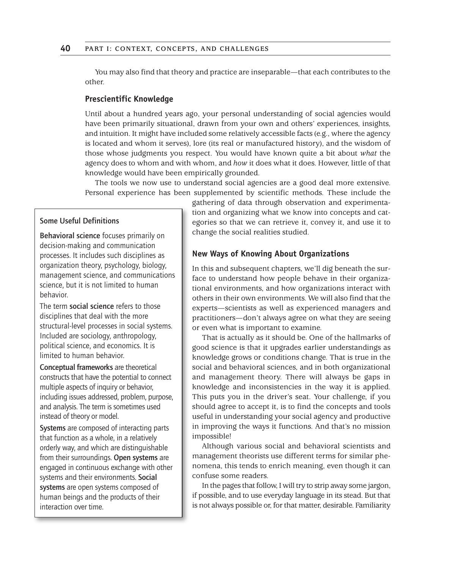You may also find that theory and practice are inseparable—that each contributes to the other.

## **Prescientific Knowledge**

Until about a hundred years ago, your personal understanding of social agencies would have been primarily situational, drawn from your own and others' experiences, insights, and intuition. It might have included some relatively accessible facts (e.g., where the agency is located and whom it serves), lore (its real or manufactured history), and the wisdom of those whose judgments you respect. You would have known quite a bit about *what* the agency does to whom and with whom, and *how* it does what it does. However, little of that knowledge would have been empirically grounded.

The tools we now use to understand social agencies are a good deal more extensive. Personal experience has been supplemented by scientific methods. These include the

## Some Useful Definitions

Behavioral science focuses primarily on decision-making and communication processes. It includes such disciplines as organization theory, psychology, biology, management science, and communications science, but it is not limited to human behavior.

The term social science refers to those disciplines that deal with the more structural-level processes in social systems. Included are sociology, anthropology, political science, and economics. It is limited to human behavior.

Conceptual frameworks are theoretical constructs that have the potential to connect multiple aspects of inquiry or behavior, including issues addressed, problem, purpose, and analysis. The term is sometimes used instead of theory or model.

Systems are composed of interacting parts that function as a whole, in a relatively orderly way, and which are distinguishable from their surroundings. Open systems are engaged in continuous exchange with other systems and their environments. Social systems are open systems composed of human beings and the products of their interaction over time.

gathering of data through observation and experimentation and organizing what we know into concepts and categories so that we can retrieve it, convey it, and use it to change the social realities studied.

## **New Ways of Knowing About Organizations**

In this and subsequent chapters, we'll dig beneath the surface to understand how people behave in their organizational environments, and how organizations interact with others in their own environments. We will also find that the experts—scientists as well as experienced managers and practitioners—don't always agree on what they are seeing or even what is important to examine.

That is actually as it should be. One of the hallmarks of good science is that it upgrades earlier understandings as knowledge grows or conditions change. That is true in the social and behavioral sciences, and in both organizational and management theory. There will always be gaps in knowledge and inconsistencies in the way it is applied. This puts you in the driver's seat. Your challenge, if you should agree to accept it, is to find the concepts and tools useful in understanding your social agency and productive in improving the ways it functions. And that's no mission impossible!

Although various social and behavioral scientists and management theorists use different terms for similar phenomena, this tends to enrich meaning, even though it can confuse some readers.

In the pages that follow, I will try to strip away some jargon, if possible, and to use everyday language in its stead. But that is not always possible or, for that matter, desirable. Familiarity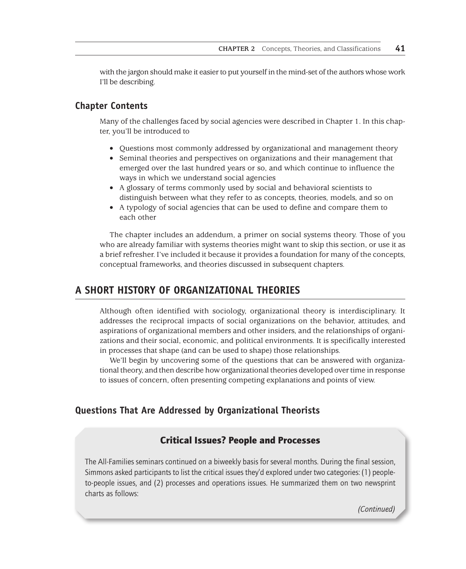with the jargon should make it easier to put yourself in the mind-set of the authors whose work I'll be describing.

## **Chapter Contents**

Many of the challenges faced by social agencies were described in Chapter 1. In this chapter, you'll be introduced to

- Questions most commonly addressed by organizational and management theory
- Seminal theories and perspectives on organizations and their management that emerged over the last hundred years or so, and which continue to influence the ways in which we understand social agencies
- A glossary of terms commonly used by social and behavioral scientists to distinguish between what they refer to as concepts, theories, models, and so on
- A typology of social agencies that can be used to define and compare them to each other

The chapter includes an addendum, a primer on social systems theory. Those of you who are already familiar with systems theories might want to skip this section, or use it as a brief refresher. I've included it because it provides a foundation for many of the concepts, conceptual frameworks, and theories discussed in subsequent chapters.

# **A SHORT HISTORY OF ORGANIZATIONAL THEORIES**

Although often identified with sociology, organizational theory is interdisciplinary. It addresses the reciprocal impacts of social organizations on the behavior, attitudes, and aspirations of organizational members and other insiders, and the relationships of organizations and their social, economic, and political environments. It is specifically interested in processes that shape (and can be used to shape) those relationships.

We'll begin by uncovering some of the questions that can be answered with organizational theory, and then describe how organizational theories developed over time in response to issues of concern, often presenting competing explanations and points of view.

# **Questions That Are Addressed by Organizational Theorists**

# Critical Issues? People and Processes

The All-Families seminars continued on a biweekly basis for several months. During the final session, Simmons asked participants to list the critical issues they'd explored under two categories: (1) peopleto-people issues, and (2) processes and operations issues. He summarized them on two newsprint charts as follows:

*(Continued)*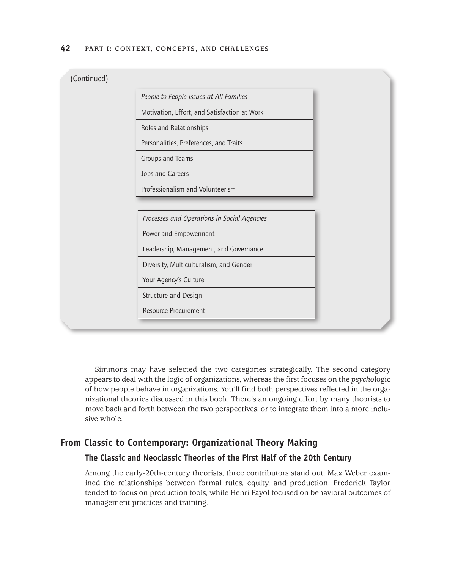| (Continued) |  |
|-------------|--|
|             |  |
|             |  |

| People-to-People Issues at All-Families      |
|----------------------------------------------|
| Motivation, Effort, and Satisfaction at Work |
| Roles and Relationships                      |
| Personalities, Preferences, and Traits       |
| Groups and Teams                             |
| Johs and Careers                             |

Professionalism and Volunteerism

*Processes and Operations in Social Agencies*

Power and Empowerment

Leadership, Management, and Governance

Diversity, Multiculturalism, and Gender

Your Agency's Culture

Structure and Design

Resource Procurement

Simmons may have selected the two categories strategically. The second category appears to deal with the logic of organizations, whereas the first focuses on the *psycho*logic of how people behave in organizations. You'll find both perspectives reflected in the organizational theories discussed in this book. There's an ongoing effort by many theorists to move back and forth between the two perspectives, or to integrate them into a more inclusive whole.

## **From Classic to Contemporary: Organizational Theory Making**

## **The Classic and Neoclassic Theories of the First Half of the 20th Century**

Among the early-20th-century theorists, three contributors stand out. Max Weber examined the relationships between formal rules, equity, and production. Frederick Taylor tended to focus on production tools, while Henri Fayol focused on behavioral outcomes of management practices and training.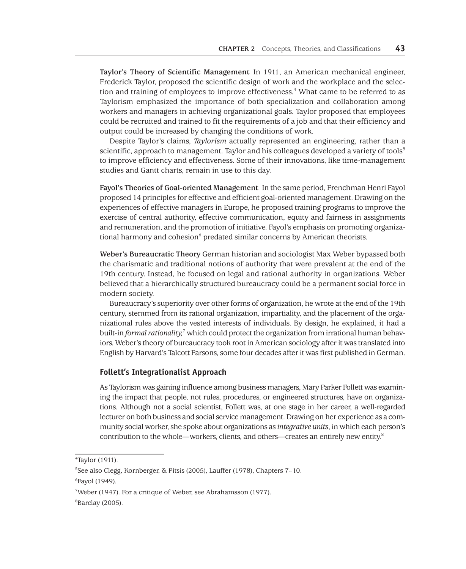**Taylor's Theory of Scientific Management** In 1911, an American mechanical engineer, Frederick Taylor, proposed the scientific design of work and the workplace and the selection and training of employees to improve effectiveness.<sup>4</sup> What came to be referred to as Taylorism emphasized the importance of both specialization and collaboration among workers and managers in achieving organizational goals. Taylor proposed that employees could be recruited and trained to fit the requirements of a job and that their efficiency and output could be increased by changing the conditions of work.

Despite Taylor's claims, *Taylorism* actually represented an engineering, rather than a scientific, approach to management. Taylor and his colleagues developed a variety of tools<sup>5</sup> to improve efficiency and effectiveness. Some of their innovations, like time-management studies and Gantt charts, remain in use to this day.

**Fayol's Theories of Goal-oriented Management** In the same period, Frenchman Henri Fayol proposed 14 principles for effective and efficient goal-oriented management. Drawing on the experiences of effective managers in Europe, he proposed training programs to improve the exercise of central authority, effective communication, equity and fairness in assignments and remuneration, and the promotion of initiative. Fayol's emphasis on promoting organizational harmony and cohesion<sup>6</sup> predated similar concerns by American theorists.

**Weber's Bureaucratic Theory** German historian and sociologist Max Weber bypassed both the charismatic and traditional notions of authority that were prevalent at the end of the 19th century. Instead, he focused on legal and rational authority in organizations. Weber believed that a hierarchically structured bureaucracy could be a permanent social force in modern society.

Bureaucracy's superiority over other forms of organization, he wrote at the end of the 19th century, stemmed from its rational organization, impartiality, and the placement of the organizational rules above the vested interests of individuals. By design, he explained, it had a built-in *formal rationality*,<sup>7</sup> which could protect the organization from irrational human behaviors. Weber's theory of bureaucracy took root in American sociology after it was translated into English by Harvard's Talcott Parsons, some four decades after it was first published in German.

## **Follett's Integrationalist Approach**

As Taylorism was gaining influence among business managers, Mary Parker Follett was examining the impact that people, not rules, procedures, or engineered structures, have on organizations. Although not a social scientist, Follett was, at one stage in her career, a well-regarded lecturer on both business and social service management. Drawing on her experience as a community social worker, she spoke about organizations as *integrative units*, in which each person's contribution to the whole—workers, clients, and others—creates an entirely new entity.<sup>8</sup>

<sup>4</sup> Taylor (1911).

<sup>5</sup> See also Clegg, Kornberger, & Pitsis (2005), Lauffer (1978), Chapters 7–10.

<sup>6</sup> Fayol (1949).

<sup>7</sup> Weber (1947). For a critique of Weber, see Abrahamsson (1977).

<sup>8</sup> Barclay (2005).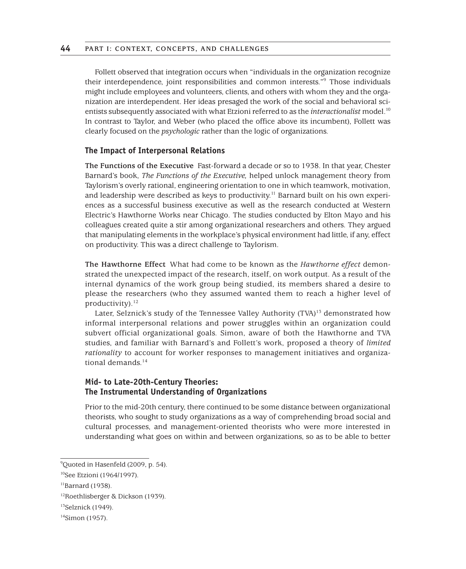Follett observed that integration occurs when "individuals in the organization recognize their interdependence, joint responsibilities and common interests."9 Those individuals might include employees and volunteers, clients, and others with whom they and the organization are interdependent. Her ideas presaged the work of the social and behavioral scientists subsequently associated with what Etzioni referred to as the *interactionalist* model.10 In contrast to Taylor, and Weber (who placed the office above its incumbent), Follett was clearly focused on the *psychologic* rather than the logic of organizations.

## **The Impact of Interpersonal Relations**

**The Functions of the Executive** Fast-forward a decade or so to 1938. In that year, Chester Barnard's book, *The Functions of the Executive,* helped unlock management theory from Taylorism's overly rational, engineering orientation to one in which teamwork, motivation, and leadership were described as keys to productivity.<sup>11</sup> Barnard built on his own experiences as a successful business executive as well as the research conducted at Western Electric's Hawthorne Works near Chicago. The studies conducted by Elton Mayo and his colleagues created quite a stir among organizational researchers and others. They argued that manipulating elements in the workplace's physical environment had little, if any, effect on productivity. This was a direct challenge to Taylorism.

**The Hawthorne Effect** What had come to be known as the *Hawthorne effect* demonstrated the unexpected impact of the research, itself, on work output. As a result of the internal dynamics of the work group being studied, its members shared a desire to please the researchers (who they assumed wanted them to reach a higher level of productivity). $^{12}$ 

Later, Selznick's study of the Tennessee Valley Authority (TVA) $13$  demonstrated how informal interpersonal relations and power struggles within an organization could subvert official organizational goals. Simon, aware of both the Hawthorne and TVA studies, and familiar with Barnard's and Follett's work, proposed a theory of *limited rationality* to account for worker responses to management initiatives and organizational demands $14$ 

## **Mid- to Late-20th-Century Theories: The Instrumental Understanding of Organizations**

Prior to the mid-20th century, there continued to be some distance between organizational theorists, who sought to study organizations as a way of comprehending broad social and cultural processes, and management-oriented theorists who were more interested in understanding what goes on within and between organizations, so as to be able to better

<sup>9</sup> Quoted in Hasenfeld (2009, p. 54).

<sup>&</sup>lt;sup>10</sup>See Etzioni (1964/1997).

 $11$ Barnard (1938).

<sup>12</sup>Roethlisberger & Dickson (1939).

 $13$ Selznick (1949).

<sup>14</sup>Simon (1957).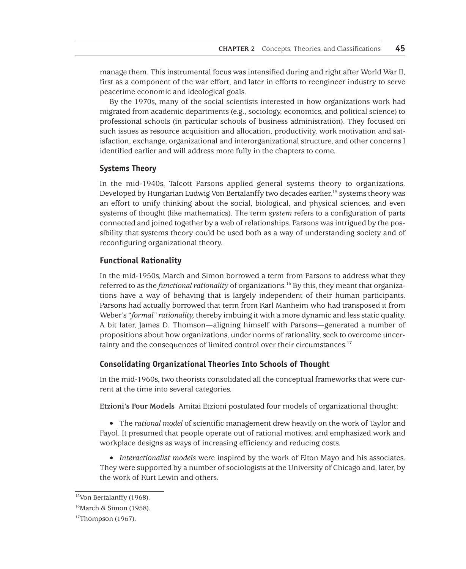manage them. This instrumental focus was intensified during and right after World War II, first as a component of the war effort, and later in efforts to reengineer industry to serve peacetime economic and ideological goals.

By the 1970s, many of the social scientists interested in how organizations work had migrated from academic departments (e.g., sociology, economics, and political science) to professional schools (in particular schools of business administration). They focused on such issues as resource acquisition and allocation, productivity, work motivation and satisfaction, exchange, organizational and interorganizational structure, and other concerns I identified earlier and will address more fully in the chapters to come.

#### **Systems Theory**

In the mid-1940s, Talcott Parsons applied general systems theory to organizations. Developed by Hungarian Ludwig Von Bertalanffy two decades earlier,<sup>15</sup> systems theory was an effort to unify thinking about the social, biological, and physical sciences, and even systems of thought (like mathematics). The term *system* refers to a configuration of parts connected and joined together by a web of relationships. Parsons was intrigued by the possibility that systems theory could be used both as a way of understanding society and of reconfiguring organizational theory.

## **Functional Rationality**

In the mid-1950s, March and Simon borrowed a term from Parsons to address what they referred to as the *functional rationality* of organizations.16 By this, they meant that organizations have a way of behaving that is largely independent of their human participants. Parsons had actually borrowed that term from Karl Manheim who had transposed it from Weber's "*formal" rationality,* thereby imbuing it with a more dynamic and less static quality. A bit later, James D. Thomson—aligning himself with Parsons—generated a number of propositions about how organizations, under norms of rationality, seek to overcome uncertainty and the consequences of limited control over their circumstances.<sup>17</sup>

## **Consolidating Organizational Theories Into Schools of Thought**

In the mid-1960s, two theorists consolidated all the conceptual frameworks that were current at the time into several categories.

**Etzioni's Four Models** Amitai Etzioni postulated four models of organizational thought:

• The *rational model* of scientific management drew heavily on the work of Taylor and Fayol. It presumed that people operate out of rational motives, and emphasized work and workplace designs as ways of increasing efficiency and reducing costs.

• *Interactionalist models* were inspired by the work of Elton Mayo and his associates. They were supported by a number of sociologists at the University of Chicago and, later, by the work of Kurt Lewin and others.

<sup>&</sup>lt;sup>15</sup>Von Bertalanffy (1968).

<sup>16</sup>March & Simon (1958).

 $17$ Thompson (1967).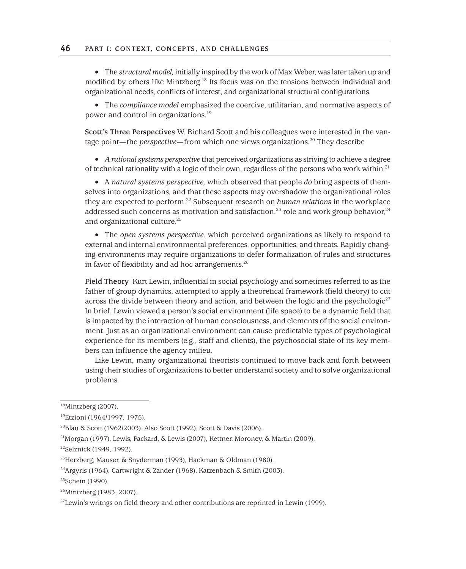• The *structural model,* initially inspired by the work of Max Weber, was later taken up and modified by others like Mintzberg.18 Its focus was on the tensions between individual and organizational needs, conflicts of interest, and organizational structural configurations.

• The *compliance model* emphasized the coercive, utilitarian, and normative aspects of power and control in organizations.19

**Scott's Three Perspectives** W. Richard Scott and his colleagues were interested in the vantage point—the *perspective*—from which one views organizations.<sup>20</sup> They describe

• *A rational systems perspective* that perceived organizations as striving to achieve a degree of technical rationality with a logic of their own, regardless of the persons who work within.<sup>21</sup>

• A *natural systems perspective,* which observed that people *do* bring aspects of themselves into organizations, and that these aspects may overshadow the organizational roles they are expected to perform.22 Subsequent research on *human relations* in the workplace addressed such concerns as motivation and satisfaction,<sup>23</sup> role and work group behavior,<sup>24</sup> and organizational culture.<sup>25</sup>

• The *open systems perspective,* which perceived organizations as likely to respond to external and internal environmental preferences, opportunities, and threats. Rapidly changing environments may require organizations to defer formalization of rules and structures in favor of flexibility and ad hoc arrangements.<sup>26</sup>

**Field Theory** Kurt Lewin, influential in social psychology and sometimes referred to as the father of group dynamics, attempted to apply a theoretical framework (field theory) to cut across the divide between theory and action, and between the logic and the psychologic<sup>27</sup> In brief, Lewin viewed a person's social environment (life space) to be a dynamic field that is impacted by the interaction of human consciousness, and elements of the social environment. Just as an organizational environment can cause predictable types of psychological experience for its members (e.g., staff and clients), the psychosocial state of its key members can influence the agency milieu.

Like Lewin, many organizational theorists continued to move back and forth between using their studies of organizations to better understand society and to solve organizational problems.

<sup>18</sup>Mintzberg (2007).

<sup>19</sup>Etzioni (1964/1997, 1975).

<sup>20</sup>Blau & Scott (1962/2003). Also Scott (1992), Scott & Davis (2006).

<sup>21</sup>Morgan (1997), Lewis, Packard, & Lewis (2007), Kettner, Moroney, & Martin (2009).

<sup>&</sup>lt;sup>22</sup>Selznick (1949, 1992).

<sup>23</sup>Herzberg, Mauser, & Snyderman (1993), Hackman & Oldman (1980).

<sup>24</sup>Argyris (1964), Cartwright & Zander (1968), Katzenbach & Smith (2003).

 $25$ Schein (1990).

<sup>26</sup>Mintzberg (1983, 2007).

 $27$ Lewin's writngs on field theory and other contributions are reprinted in Lewin (1999).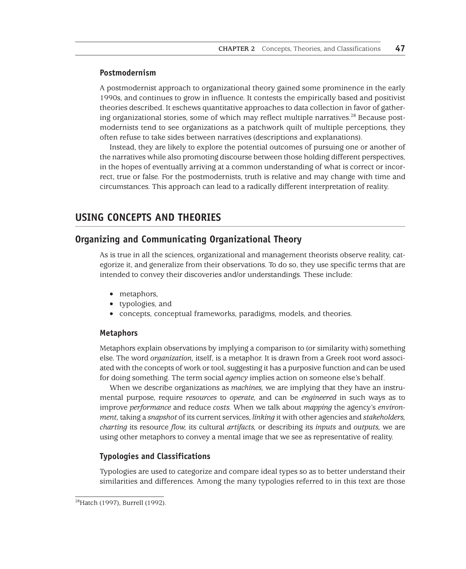## **Postmodernism**

A postmodernist approach to organizational theory gained some prominence in the early 1990s, and continues to grow in influence. It contests the empirically based and positivist theories described. It eschews quantitative approaches to data collection in favor of gathering organizational stories, some of which may reflect multiple narratives.<sup>28</sup> Because postmodernists tend to see organizations as a patchwork quilt of multiple perceptions, they often refuse to take sides between narratives (descriptions and explanations).

Instead, they are likely to explore the potential outcomes of pursuing one or another of the narratives while also promoting discourse between those holding different perspectives, in the hopes of eventually arriving at a common understanding of what is correct or incorrect, true or false. For the postmodernists, truth is relative and may change with time and circumstances. This approach can lead to a radically different interpretation of reality.

# **USING CONCEPTS AND THEORIES**

## **Organizing and Communicating Organizational Theory**

As is true in all the sciences, organizational and management theorists observe reality, categorize it, and generalize from their observations. To do so, they use specific terms that are intended to convey their discoveries and/or understandings. These include:

- metaphors,
- typologies, and
- concepts, conceptual frameworks, paradigms, models, and theories.

#### **Metaphors**

Metaphors explain observations by implying a comparison to (or similarity with) something else. The word *organization,* itself, is a metaphor. It is drawn from a Greek root word associated with the concepts of work or tool, suggesting it has a purposive function and can be used for doing something. The term social *agency* implies action on someone else's behalf.

When we describe organizations as *machines,* we are implying that they have an instrumental purpose, require *resources* to *operate,* and can be *engineered* in such ways as to improve *performance* and reduce *costs.* When we talk about *mapping* the agency's *environment,* taking a *snapshot* of its current services, *linking* it with other agencies and *stakeholders, charting* its resource *flow,* its cultural *artifacts,* or describing its *inputs* and *outputs,* we are using other metaphors to convey a mental image that we see as representative of reality.

## **Typologies and Classifications**

Typologies are used to categorize and compare ideal types so as to better understand their similarities and differences. Among the many typologies referred to in this text are those

<sup>28</sup>Hatch (1997), Burrell (1992).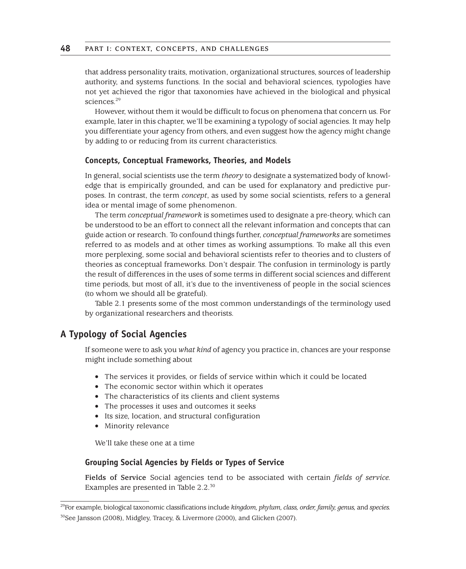that address personality traits, motivation, organizational structures, sources of leadership authority, and systems functions. In the social and behavioral sciences, typologies have not yet achieved the rigor that taxonomies have achieved in the biological and physical sciences.<sup>29</sup>

However, without them it would be difficult to focus on phenomena that concern us. For example, later in this chapter, we'll be examining a typology of social agencies. It may help you differentiate your agency from others, and even suggest how the agency might change by adding to or reducing from its current characteristics.

## **Concepts, Conceptual Frameworks, Theories, and Models**

In general, social scientists use the term *theory* to designate a systematized body of knowledge that is empirically grounded, and can be used for explanatory and predictive purposes. In contrast, the term *concept*, as used by some social scientists, refers to a general idea or mental image of some phenomenon.

The term *conceptual framework* is sometimes used to designate a pre-theory, which can be understood to be an effort to connect all the relevant information and concepts that can guide action or research. To confound things further, *conceptual frameworks* are sometimes referred to as models and at other times as working assumptions. To make all this even more perplexing, some social and behavioral scientists refer to theories and to clusters of theories as conceptual frameworks. Don't despair. The confusion in terminology is partly the result of differences in the uses of some terms in different social sciences and different time periods, but most of all, it's due to the inventiveness of people in the social sciences (to whom we should all be grateful).

Table 2.1 presents some of the most common understandings of the terminology used by organizational researchers and theorists.

## **A Typology of Social Agencies**

If someone were to ask you *what kind* of agency you practice in, chances are your response might include something about

- The services it provides, or fields of service within which it could be located
- The economic sector within which it operates
- The characteristics of its clients and client systems
- The processes it uses and outcomes it seeks
- Its size, location, and structural configuration
- Minority relevance

We'll take these one at a time

## **Grouping Social Agencies by Fields or Types of Service**

**Fields of Service** Social agencies tend to be associated with certain *fields of service.* Examples are presented in Table 2.2.<sup>30</sup>

<sup>29</sup>For example, biological taxonomic classifications include *kingdom, phylum, class, order, family, genus,* and *species.*

<sup>30</sup>See Jansson (2008), Midgley, Tracey, & Livermore (2000), and Glicken (2007).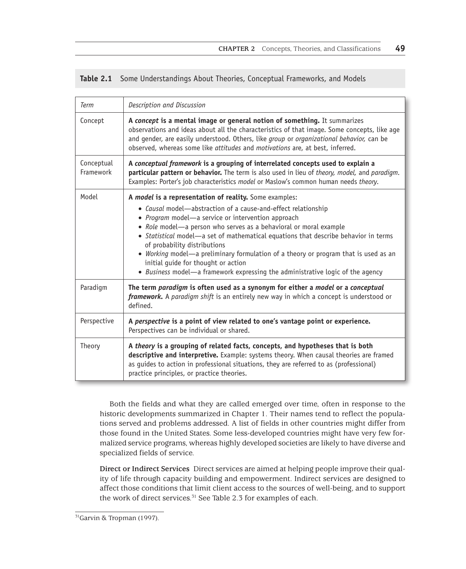|  | Table 2.1 Some Understandings About Theories, Conceptual Frameworks, and Models |  |  |  |  |
|--|---------------------------------------------------------------------------------|--|--|--|--|
|--|---------------------------------------------------------------------------------|--|--|--|--|

| <b>Term</b>             | Description and Discussion                                                                                                                                                                                                                                                                                                                                                                                                                                                                                                                                                                |
|-------------------------|-------------------------------------------------------------------------------------------------------------------------------------------------------------------------------------------------------------------------------------------------------------------------------------------------------------------------------------------------------------------------------------------------------------------------------------------------------------------------------------------------------------------------------------------------------------------------------------------|
| Concept                 | A concept is a mental image or general notion of something. It summarizes<br>observations and ideas about all the characteristics of that image. Some concepts, like age<br>and gender, are easily understood. Others, like group or organizational behavior, can be<br>observed, whereas some like attitudes and motivations are, at best, inferred.                                                                                                                                                                                                                                     |
| Conceptual<br>Framework | A conceptual framework is a grouping of interrelated concepts used to explain a<br>particular pattern or behavior. The term is also used in lieu of theory, model, and paradigm.<br>Examples: Porter's job characteristics model or Maslow's common human needs theory.                                                                                                                                                                                                                                                                                                                   |
| Model                   | A model is a representation of reality. Some examples:<br>• Causal model-abstraction of a cause-and-effect relationship<br>• Program model-a service or intervention approach<br>• Role model-a person who serves as a behavioral or moral example<br>• Statistical model-a set of mathematical equations that describe behavior in terms<br>of probability distributions<br>• Working model—a preliminary formulation of a theory or program that is used as an<br>initial guide for thought or action<br>• Business model—a framework expressing the administrative logic of the agency |
| Paradigm                | The term paradigm is often used as a synonym for either a model or a conceptual<br>framework. A paradigm shift is an entirely new way in which a concept is understood or<br>defined.                                                                                                                                                                                                                                                                                                                                                                                                     |
| Perspective             | A perspective is a point of view related to one's vantage point or experience.<br>Perspectives can be individual or shared.                                                                                                                                                                                                                                                                                                                                                                                                                                                               |
| Theory                  | A theory is a grouping of related facts, concepts, and hypotheses that is both<br>descriptive and interpretive. Example: systems theory. When causal theories are framed<br>as guides to action in professional situations, they are referred to as (professional)<br>practice principles, or practice theories.                                                                                                                                                                                                                                                                          |

Both the fields and what they are called emerged over time, often in response to the historic developments summarized in Chapter 1. Their names tend to reflect the populations served and problems addressed. A list of fields in other countries might differ from those found in the United States. Some less-developed countries might have very few formalized service programs, whereas highly developed societies are likely to have diverse and specialized fields of service.

**Direct or Indirect Services** Direct services are aimed at helping people improve their quality of life through capacity building and empowerment. Indirect services are designed to affect those conditions that limit client access to the sources of well-being, and to support the work of direct services.<sup>31</sup> See Table 2.3 for examples of each.

<sup>&</sup>lt;sup>31</sup>Garvin & Tropman (1997).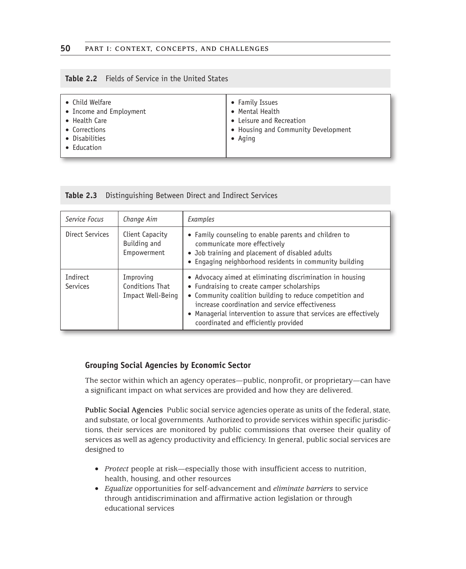## **Table 2.2** Fields of Service in the United States

| • Child Welfare<br>• Income and Employment<br>• Health Care<br>• Corrections<br>• Disabilities<br>• Education | • Family Issues<br>• Mental Health<br>• Leisure and Recreation<br>• Housing and Community Development<br>$\bullet$ Aging |
|---------------------------------------------------------------------------------------------------------------|--------------------------------------------------------------------------------------------------------------------------|
|---------------------------------------------------------------------------------------------------------------|--------------------------------------------------------------------------------------------------------------------------|

| Service Focus                                                             | Change Aim | Examples                                                                                                                                                                                                                                                                                                                             |  |  |
|---------------------------------------------------------------------------|------------|--------------------------------------------------------------------------------------------------------------------------------------------------------------------------------------------------------------------------------------------------------------------------------------------------------------------------------------|--|--|
| Direct Services<br>Client Capacity<br>Building and<br>Empowerment         |            | • Family counseling to enable parents and children to<br>communicate more effectively<br>• Job training and placement of disabled adults<br>• Engaging neighborhood residents in community building                                                                                                                                  |  |  |
| Indirect<br>Improving<br>Conditions That<br>Services<br>Impact Well-Being |            | • Advocacy aimed at eliminating discrimination in housing<br>• Fundraising to create camper scholarships<br>• Community coalition building to reduce competition and<br>increase coordination and service effectiveness<br>• Managerial intervention to assure that services are effectively<br>coordinated and efficiently provided |  |  |

## **Table 2.3** Distinguishing Between Direct and Indirect Services

## **Grouping Social Agencies by Economic Sector**

The sector within which an agency operates—public, nonprofit, or proprietary—can have a significant impact on what services are provided and how they are delivered.

**Public Social Agencies** Public social service agencies operate as units of the federal, state, and substate, or local governments. Authorized to provide services within specific jurisdictions, their services are monitored by public commissions that oversee their quality of services as well as agency productivity and efficiency. In general, public social services are designed to

- *Protect* people at risk—especially those with insufficient access to nutrition, health, housing, and other resources
- *Equalize* opportunities for self-advancement and *eliminate barriers* to service through antidiscrimination and affirmative action legislation or through educational services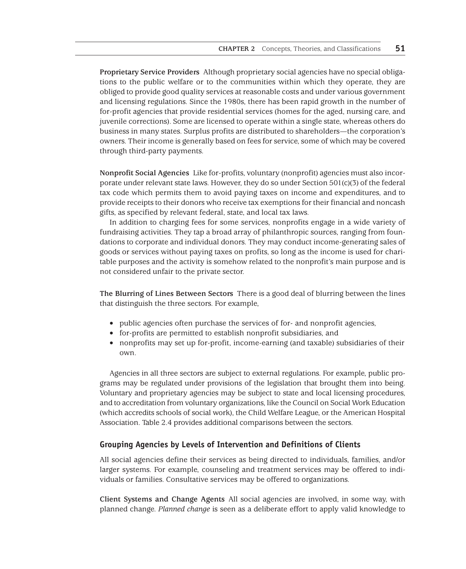**Proprietary Service Providers** Although proprietary social agencies have no special obligations to the public welfare or to the communities within which they operate, they are obliged to provide good quality services at reasonable costs and under various government and licensing regulations. Since the 1980s, there has been rapid growth in the number of for-profit agencies that provide residential services (homes for the aged, nursing care, and juvenile corrections). Some are licensed to operate within a single state, whereas others do business in many states. Surplus profits are distributed to shareholders—the corporation's owners. Their income is generally based on fees for service, some of which may be covered through third-party payments.

**Nonprofit Social Agencies** Like for-profits, voluntary (nonprofit) agencies must also incorporate under relevant state laws. However, they do so under Section 501(c)(3) of the federal tax code which permits them to avoid paying taxes on income and expenditures, and to provide receipts to their donors who receive tax exemptions for their financial and noncash gifts, as specified by relevant federal, state, and local tax laws.

In addition to charging fees for some services, nonprofits engage in a wide variety of fundraising activities. They tap a broad array of philanthropic sources, ranging from foundations to corporate and individual donors. They may conduct income-generating sales of goods or services without paying taxes on profits, so long as the income is used for charitable purposes and the activity is somehow related to the nonprofit's main purpose and is not considered unfair to the private sector.

**The Blurring of Lines Between Sectors** There is a good deal of blurring between the lines that distinguish the three sectors. For example,

- public agencies often purchase the services of for- and nonprofit agencies,
- for-profits are permitted to establish nonprofit subsidiaries, and
- nonprofits may set up for-profit, income-earning (and taxable) subsidiaries of their own.

Agencies in all three sectors are subject to external regulations. For example, public programs may be regulated under provisions of the legislation that brought them into being. Voluntary and proprietary agencies may be subject to state and local licensing procedures, and to accreditation from voluntary organizations, like the Council on Social Work Education (which accredits schools of social work), the Child Welfare League, or the American Hospital Association. Table 2.4 provides additional comparisons between the sectors.

## **Grouping Agencies by Levels of Intervention and Definitions of Clients**

All social agencies define their services as being directed to individuals, families, and/or larger systems. For example, counseling and treatment services may be offered to individuals or families. Consultative services may be offered to organizations.

**Client Systems and Change Agents** All social agencies are involved, in some way, with planned change. *Planned change* is seen as a deliberate effort to apply valid knowledge to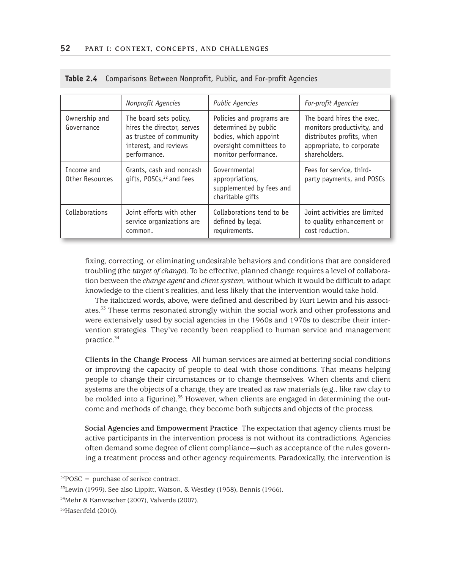| Nonprofit Agencies            |                                                                                                                          | <b>Public Agencies</b>                                                                                                        | For-profit Agencies                                                                                                                |  |  |
|-------------------------------|--------------------------------------------------------------------------------------------------------------------------|-------------------------------------------------------------------------------------------------------------------------------|------------------------------------------------------------------------------------------------------------------------------------|--|--|
| Ownership and<br>Governance   | The board sets policy,<br>hires the director, serves<br>as trustee of community<br>interest, and reviews<br>performance. | Policies and programs are<br>determined by public<br>bodies, which appoint<br>oversight committees to<br>monitor performance. | The board hires the exec.<br>monitors productivity, and<br>distributes profits, when<br>appropriate, to corporate<br>shareholders. |  |  |
| Income and<br>Other Resources | Grants, cash and noncash<br>gifts, POSCs, <sup>32</sup> and fees                                                         | Governmental<br>appropriations,<br>supplemented by fees and<br>charitable gifts                                               | Fees for service, third-<br>party payments, and POSCs                                                                              |  |  |
| Collaborations                | Joint efforts with other<br>service organizations are<br>common.                                                         | Collaborations tend to be<br>defined by legal<br>requirements.                                                                | Joint activities are limited<br>to quality enhancement or<br>cost reduction.                                                       |  |  |

|  |  | Table 2.4 Comparisons Between Nonprofit, Public, and For-profit Agencies |  |  |  |
|--|--|--------------------------------------------------------------------------|--|--|--|
|--|--|--------------------------------------------------------------------------|--|--|--|

fixing, correcting, or eliminating undesirable behaviors and conditions that are considered troubling (the *target of change*). To be effective, planned change requires a level of collaboration between the *change agent* and *client system,* without which it would be difficult to adapt knowledge to the client's realities, and less likely that the intervention would take hold.

The italicized words, above, were defined and described by Kurt Lewin and his associates.<sup>33</sup> These terms resonated strongly within the social work and other professions and were extensively used by social agencies in the 1960s and 1970s to describe their intervention strategies. They've recently been reapplied to human service and management practice.34

**Clients in the Change Process** All human services are aimed at bettering social conditions or improving the capacity of people to deal with those conditions. That means helping people to change their circumstances or to change themselves. When clients and client systems are the objects of a change, they are treated as raw materials (e.g., like raw clay to be molded into a figurine).<sup>35</sup> However, when clients are engaged in determining the outcome and methods of change, they become both subjects and objects of the process.

**Social Agencies and Empowerment Practice** The expectation that agency clients must be active participants in the intervention process is not without its contradictions. Agencies often demand some degree of client compliance—such as acceptance of the rules governing a treatment process and other agency requirements. Paradoxically, the intervention is

 $32$ POSC = purchase of serivce contract.

<sup>33</sup>Lewin (1999). See also Lippitt, Watson, & Westley (1958), Bennis (1966).

<sup>34</sup>Mehr & Kanwischer (2007), Valverde (2007).

 $35$ Hasenfeld (2010).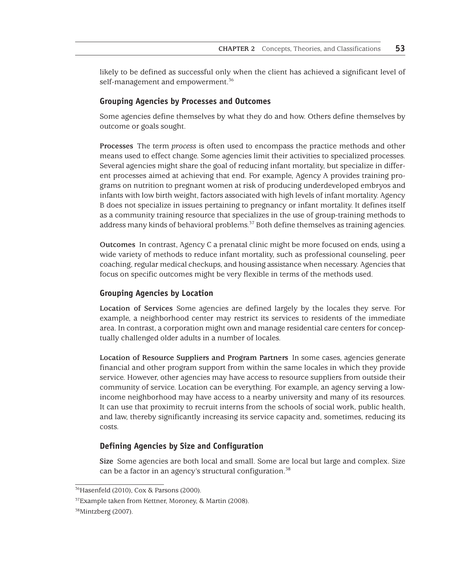likely to be defined as successful only when the client has achieved a significant level of self-management and empowerment.<sup>36</sup>

#### **Grouping Agencies by Processes and Outcomes**

Some agencies define themselves by what they do and how. Others define themselves by outcome or goals sought.

**Processes** The term *process* is often used to encompass the practice methods and other means used to effect change. Some agencies limit their activities to specialized processes. Several agencies might share the goal of reducing infant mortality, but specialize in different processes aimed at achieving that end. For example, Agency A provides training programs on nutrition to pregnant women at risk of producing underdeveloped embryos and infants with low birth weight, factors associated with high levels of infant mortality. Agency B does not specialize in issues pertaining to pregnancy or infant mortality. It defines itself as a community training resource that specializes in the use of group-training methods to address many kinds of behavioral problems.37 Both define themselves as training agencies.

**Outcomes** In contrast, Agency C a prenatal clinic might be more focused on ends, using a wide variety of methods to reduce infant mortality, such as professional counseling, peer coaching, regular medical checkups, and housing assistance when necessary. Agencies that focus on specific outcomes might be very flexible in terms of the methods used.

## **Grouping Agencies by Location**

**Location of Services** Some agencies are defined largely by the locales they serve. For example, a neighborhood center may restrict its services to residents of the immediate area. In contrast, a corporation might own and manage residential care centers for conceptually challenged older adults in a number of locales.

**Location of Resource Suppliers and Program Partners** In some cases, agencies generate financial and other program support from within the same locales in which they provide service. However, other agencies may have access to resource suppliers from outside their community of service. Location can be everything. For example, an agency serving a lowincome neighborhood may have access to a nearby university and many of its resources. It can use that proximity to recruit interns from the schools of social work, public health, and law, thereby significantly increasing its service capacity and, sometimes, reducing its costs.

## **Defining Agencies by Size and Configuration**

**Size** Some agencies are both local and small. Some are local but large and complex. Size can be a factor in an agency's structural configuration.<sup>38</sup>

<sup>36</sup>Hasenfeld (2010), Cox & Parsons (2000).

<sup>37</sup>Example taken from Kettner, Moroney, & Martin (2008).

<sup>&</sup>lt;sup>38</sup>Mintzberg (2007).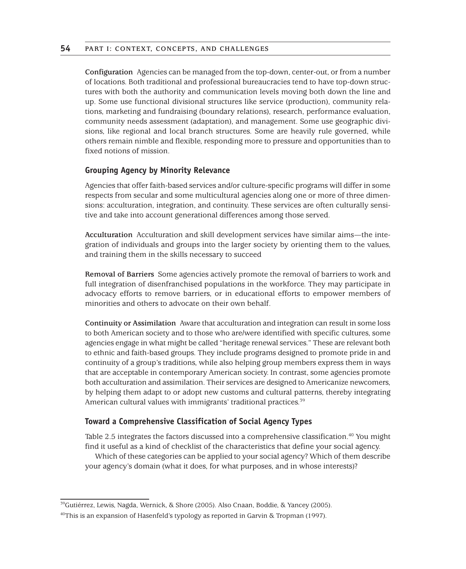**Configuration** Agencies can be managed from the top-down, center-out, or from a number of locations. Both traditional and professional bureaucracies tend to have top-down structures with both the authority and communication levels moving both down the line and up. Some use functional divisional structures like service (production), community relations, marketing and fundraising (boundary relations), research, performance evaluation, community needs assessment (adaptation), and management. Some use geographic divisions, like regional and local branch structures. Some are heavily rule governed, while others remain nimble and flexible, responding more to pressure and opportunities than to fixed notions of mission.

## **Grouping Agency by Minority Relevance**

Agencies that offer faith-based services and/or culture-specific programs will differ in some respects from secular and some multicultural agencies along one or more of three dimensions: acculturation, integration, and continuity. These services are often culturally sensitive and take into account generational differences among those served.

**Acculturation** Acculturation and skill development services have similar aims—the integration of individuals and groups into the larger society by orienting them to the values, and training them in the skills necessary to succeed

**Removal of Barriers** Some agencies actively promote the removal of barriers to work and full integration of disenfranchised populations in the workforce. They may participate in advocacy efforts to remove barriers, or in educational efforts to empower members of minorities and others to advocate on their own behalf.

**Continuity or Assimilation** Aware that acculturation and integration can result in some loss to both American society and to those who are/were identified with specific cultures, some agencies engage in what might be called "heritage renewal services." These are relevant both to ethnic and faith-based groups. They include programs designed to promote pride in and continuity of a group's traditions, while also helping group members express them in ways that are acceptable in contemporary American society. In contrast, some agencies promote both acculturation and assimilation. Their services are designed to Americanize newcomers, by helping them adapt to or adopt new customs and cultural patterns, thereby integrating American cultural values with immigrants' traditional practices.<sup>39</sup>

## **Toward a Comprehensive Classification of Social Agency Types**

Table 2.5 integrates the factors discussed into a comprehensive classification.<sup>40</sup> You might find it useful as a kind of checklist of the characteristics that define your social agency.

Which of these categories can be applied to your social agency? Which of them describe your agency's domain (what it does, for what purposes, and in whose interests)?

<sup>39</sup>Gutiérrez, Lewis, Nagda, Wernick, & Shore (2005). Also Cnaan, Boddie, & Yancey (2005).

<sup>&</sup>lt;sup>40</sup>This is an expansion of Hasenfeld's typology as reported in Garvin & Tropman (1997).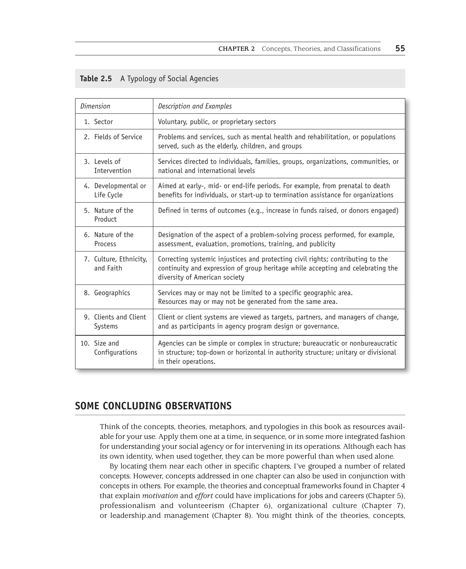| <b>Dimension</b>                    | Description and Examples                                                                                                                                                                            |  |  |  |  |
|-------------------------------------|-----------------------------------------------------------------------------------------------------------------------------------------------------------------------------------------------------|--|--|--|--|
| 1. Sector                           | Voluntary, public, or proprietary sectors                                                                                                                                                           |  |  |  |  |
| 2. Fields of Service                | Problems and services, such as mental health and rehabilitation, or populations<br>served, such as the elderly, children, and groups                                                                |  |  |  |  |
| 3. Levels of<br>Intervention        | Services directed to individuals, families, groups, organizations, communities, or<br>national and international levels                                                                             |  |  |  |  |
| 4. Developmental or<br>Life Cycle   | Aimed at early-, mid- or end-life periods. For example, from prenatal to death<br>benefits for individuals, or start-up to termination assistance for organizations                                 |  |  |  |  |
| 5. Nature of the<br>Product         | Defined in terms of outcomes (e.g., increase in funds raised, or donors engaged)                                                                                                                    |  |  |  |  |
| 6. Nature of the<br>Process         | Designation of the aspect of a problem-solving process performed, for example,<br>assessment, evaluation, promotions, training, and publicity                                                       |  |  |  |  |
| 7. Culture, Ethnicity,<br>and Faith | Correcting systemic injustices and protecting civil rights; contributing to the<br>continuity and expression of group heritage while accepting and celebrating the<br>diversity of American society |  |  |  |  |
| 8. Geographics                      | Services may or may not be limited to a specific geographic area.<br>Resources may or may not be generated from the same area.                                                                      |  |  |  |  |
| 9. Clients and Client<br>Systems    | Client or client systems are viewed as targets, partners, and managers of change,<br>and as participants in agency program design or governance.                                                    |  |  |  |  |
| 10. Size and<br>Configurations      | Agencies can be simple or complex in structure; bureaucratic or nonbureaucratic<br>in structure; top-down or horizontal in authority structure; unitary or divisional<br>in their operations.       |  |  |  |  |

| Table 2.5 |  |  | A Typology of Social Agencies |  |
|-----------|--|--|-------------------------------|--|
|           |  |  |                               |  |

# **SOME CONCLUDING OBSERVATIONS**

Think of the concepts, theories, metaphors, and typologies in this book as resources available for your use. Apply them one at a time, in sequence, or in some more integrated fashion for understanding your social agency or for intervening in its operations. Although each has its own identity, when used together, they can be more powerful than when used alone.

By locating them near each other in specific chapters, I've grouped a number of related concepts. However, concepts addressed in one chapter can also be used in conjunction with concepts in others. For example, the theories and conceptual frameworks found in Chapter 4 that explain *motivation* and *effort* could have implications for jobs and careers (Chapter 5), professionalism and volunteerism (Chapter 6), organizational culture (Chapter 7), or leadership.and management (Chapter 8). You might think of the theories, concepts,